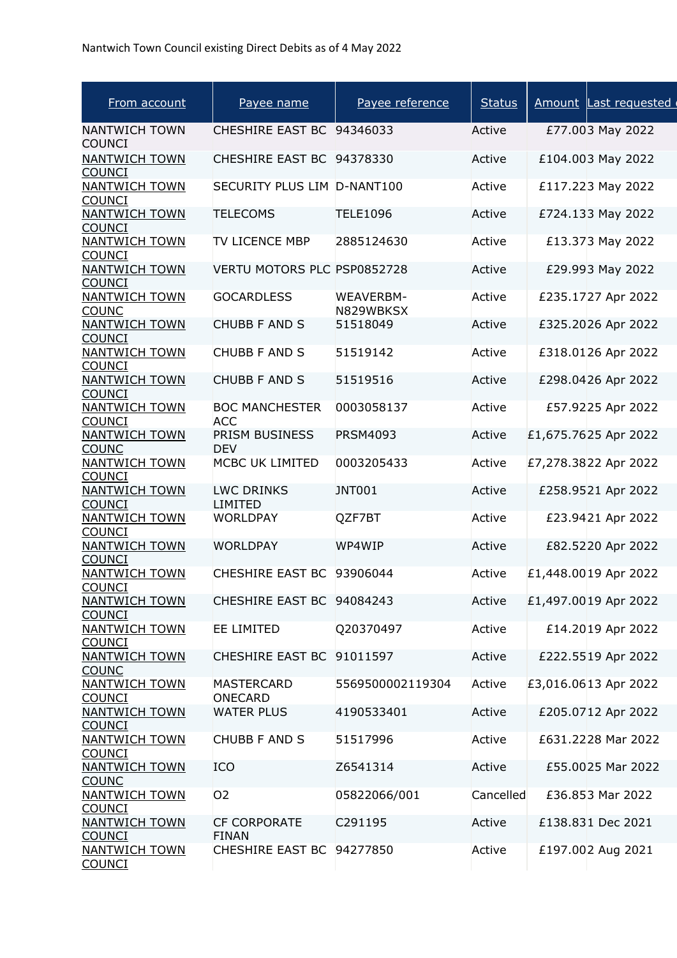| From account                          | Payee name                          | Payee reference        | <b>Status</b> | Amount Last requested |
|---------------------------------------|-------------------------------------|------------------------|---------------|-----------------------|
| <b>NANTWICH TOWN</b><br><b>COUNCI</b> | CHESHIRE EAST BC 94346033           |                        | Active        | £77.003 May 2022      |
| <b>NANTWICH TOWN</b><br><b>COUNCI</b> | CHESHIRE EAST BC 94378330           |                        | Active        | £104.003 May 2022     |
| <b>NANTWICH TOWN</b><br><b>COUNCI</b> | SECURITY PLUS LIM D-NANT100         |                        | Active        | £117.223 May 2022     |
| <b>NANTWICH TOWN</b><br><b>COUNCI</b> | <b>TELECOMS</b>                     | <b>TELE1096</b>        | Active        | £724.133 May 2022     |
| <b>NANTWICH TOWN</b><br><b>COUNCI</b> | TV LICENCE MBP                      | 2885124630             | Active        | £13.373 May 2022      |
| <b>NANTWICH TOWN</b><br><b>COUNCI</b> | VERTU MOTORS PLC PSP0852728         |                        | Active        | £29.993 May 2022      |
| <b>NANTWICH TOWN</b><br><b>COUNC</b>  | <b>GOCARDLESS</b>                   | WEAVERBM-<br>N829WBKSX | Active        | £235.1727 Apr 2022    |
| <b>NANTWICH TOWN</b><br><b>COUNCI</b> | <b>CHUBB F AND S</b>                | 51518049               | Active        | £325.2026 Apr 2022    |
| <b>NANTWICH TOWN</b><br><b>COUNCI</b> | <b>CHUBB F AND S</b>                | 51519142               | Active        | £318.0126 Apr 2022    |
| <b>NANTWICH TOWN</b><br><b>COUNCI</b> | <b>CHUBB F AND S</b>                | 51519516               | Active        | £298.0426 Apr 2022    |
| <b>NANTWICH TOWN</b><br><b>COUNCI</b> | <b>BOC MANCHESTER</b><br><b>ACC</b> | 0003058137             | Active        | £57.9225 Apr 2022     |
| <b>NANTWICH TOWN</b><br><b>COUNC</b>  | PRISM BUSINESS<br><b>DEV</b>        | <b>PRSM4093</b>        | Active        | £1,675.7625 Apr 2022  |
| <b>NANTWICH TOWN</b><br><b>COUNCI</b> | MCBC UK LIMITED                     | 0003205433             | Active        | £7,278.3822 Apr 2022  |
| <b>NANTWICH TOWN</b><br><b>COUNCI</b> | <b>LWC DRINKS</b><br><b>LIMITED</b> | <b>JNT001</b>          | Active        | £258.9521 Apr 2022    |
| <b>NANTWICH TOWN</b><br><b>COUNCI</b> | <b>WORLDPAY</b>                     | QZF7BT                 | Active        | £23.9421 Apr 2022     |
| <b>NANTWICH TOWN</b><br><b>COUNCI</b> | <b>WORLDPAY</b>                     | WP4WIP                 | Active        | £82.5220 Apr 2022     |
| <b>NANTWICH TOWN</b><br><b>COUNCI</b> | CHESHIRE EAST BC 93906044           |                        | Active        | £1,448.0019 Apr 2022  |
| <b>NANTWICH TOWN</b><br><b>COUNCI</b> | CHESHIRE EAST BC 94084243           |                        | Active        | £1,497.0019 Apr 2022  |
| <b>NANTWICH TOWN</b><br><b>COUNCI</b> | <b>EE LIMITED</b>                   | Q20370497              | Active        | £14.2019 Apr 2022     |
| <b>NANTWICH TOWN</b><br><b>COUNC</b>  | CHESHIRE EAST BC 91011597           |                        | Active        | £222.5519 Apr 2022    |
| <b>NANTWICH TOWN</b><br><b>COUNCI</b> | <b>MASTERCARD</b><br><b>ONECARD</b> | 5569500002119304       | Active        | £3,016.0613 Apr 2022  |
| <b>NANTWICH TOWN</b><br><b>COUNCI</b> | <b>WATER PLUS</b>                   | 4190533401             | Active        | £205.0712 Apr 2022    |
| <b>NANTWICH TOWN</b><br><b>COUNCI</b> | <b>CHUBB F AND S</b>                | 51517996               | Active        | £631.2228 Mar 2022    |
| <b>NANTWICH TOWN</b><br><b>COUNC</b>  | <b>ICO</b>                          | Z6541314               | Active        | £55.0025 Mar 2022     |
| <b>NANTWICH TOWN</b><br><b>COUNCI</b> | 02                                  | 05822066/001           | Cancelled     | £36.853 Mar 2022      |
| <b>NANTWICH TOWN</b><br><b>COUNCI</b> | <b>CF CORPORATE</b><br><b>FINAN</b> | C291195                | Active        | £138.831 Dec 2021     |
| <b>NANTWICH TOWN</b><br><b>COUNCI</b> | CHESHIRE EAST BC 94277850           |                        | Active        | £197.002 Aug 2021     |